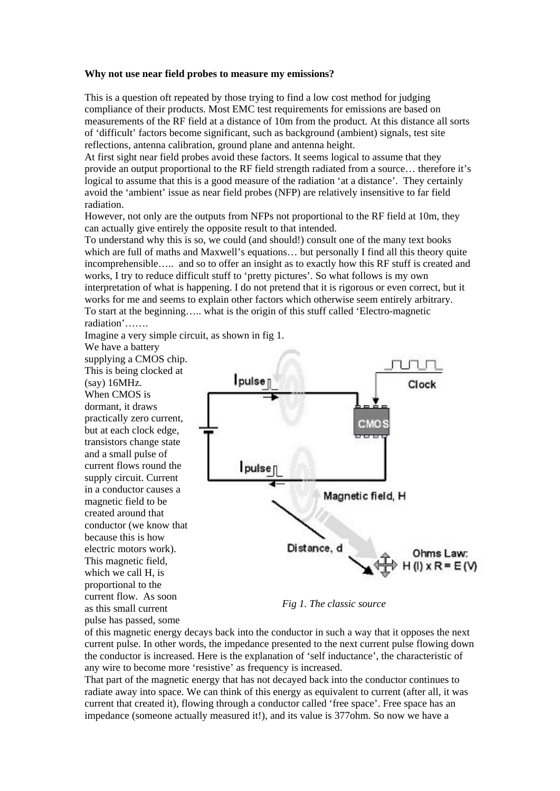## **Why not use near field probes to measure my emissions?**

This is a question oft repeated by those trying to find a low cost method for judging compliance of their products. Most EMC test requirements for emissions are based on measurements of the RF field at a distance of 10m from the product. At this distance all sorts of 'difficult' factors become significant, such as background (ambient) signals, test site reflections, antenna calibration, ground plane and antenna height.

At first sight near field probes avoid these factors. It seems logical to assume that they provide an output proportional to the RF field strength radiated from a source… therefore it's logical to assume that this is a good measure of the radiation 'at a distance'. They certainly avoid the 'ambient' issue as near field probes (NFP) are relatively insensitive to far field radiation.

However, not only are the outputs from NFPs not proportional to the RF field at 10m, they can actually give entirely the opposite result to that intended.

To understand why this is so, we could (and should!) consult one of the many text books which are full of maths and Maxwell's equations... but personally I find all this theory quite incomprehensible….. and so to offer an insight as to exactly how this RF stuff is created and works, I try to reduce difficult stuff to 'pretty pictures'. So what follows is my own interpretation of what is happening. I do not pretend that it is rigorous or even correct, but it works for me and seems to explain other factors which otherwise seem entirely arbitrary. To start at the beginning….. what is the origin of this stuff called 'Electro-magnetic radiation'…….

Imagine a very simple circuit, as shown in fig 1.

We have a battery supplying a CMOS chip. This is being clocked at (say) 16MHz. When CMOS is dormant, it draws practically zero current, but at each clock edge, transistors change state and a small pulse of current flows round the supply circuit. Current in a conductor causes a magnetic field to be created around that conductor (we know that because this is how electric motors work). This magnetic field, which we call H, is proportional to the current flow. As soon as this small current pulse has passed, some



*Fig 1. The classic source* 

of this magnetic energy decays back into the conductor in such a way that it opposes the next current pulse. In other words, the impedance presented to the next current pulse flowing down the conductor is increased. Here is the explanation of 'self inductance', the characteristic of any wire to become more 'resistive' as frequency is increased.

That part of the magnetic energy that has not decayed back into the conductor continues to radiate away into space. We can think of this energy as equivalent to current (after all, it was current that created it), flowing through a conductor called 'free space'. Free space has an impedance (someone actually measured it!), and its value is 377ohm. So now we have a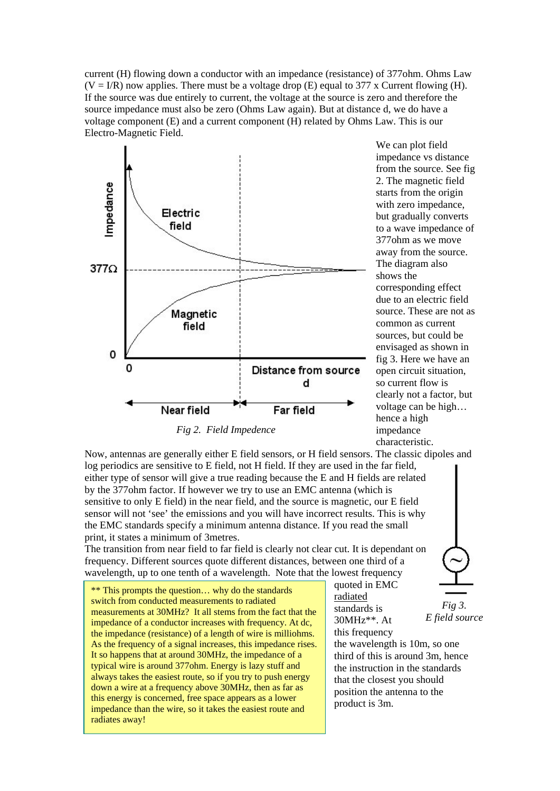current (H) flowing down a conductor with an impedance (resistance) of 377ohm. Ohms Law  $(V = I/R)$  now applies. There must be a voltage drop (E) equal to 377 x Current flowing (H). If the source was due entirely to current, the voltage at the source is zero and therefore the source impedance must also be zero (Ohms Law again). But at distance d, we do have a voltage component (E) and a current component (H) related by Ohms Law. This is our Electro-Magnetic Field.



Now, antennas are generally either E field sensors, or H field sensors. The classic dipoles and log periodics are sensitive to E field, not H field. If they are used in the far field, either type of sensor will give a true reading because the E and H fields are related by the 377ohm factor. If however we try to use an EMC antenna (which is sensitive to only E field) in the near field, and the source is magnetic, our E field sensor will not 'see' the emissions and you will have incorrect results. This is why the EMC standards specify a minimum antenna distance. If you read the small print, it states a minimum of 3metres.

The transition from near field to far field is clearly not clear cut. It is dependant on frequency. Different sources quote different distances, between one third of a wavelength, up to one tenth of a wavelength. Note that the lowest frequency

\*\* This prompts the question… why do the standards switch from conducted measurements to radiated measurements at 30MHz? It all stems from the fact that the impedance of a conductor increases with frequency. At dc, the impedance (resistance) of a length of wire is milliohms. As the frequency of a signal increases, this impedance rises. It so happens that at around 30MHz, the impedance of a typical wire is around 377ohm. Energy is lazy stuff and always takes the easiest route, so if you try to push energy down a wire at a frequency above 30MHz, then as far as this energy is concerned, free space appears as a lower impedance than the wire, so it takes the easiest route and radiates away!

quoted in EMC radiated standards is 30MHz\*\*. At



this frequency the wavelength is 10m, so one third of this is around 3m, hence the instruction in the standards that the closest you should position the antenna to the product is 3m.

*E field source* 

We can plot field impedance vs distance from the source. See fig 2. The magnetic field starts from the origin with zero impedance, but gradually converts to a wave impedance of 377ohm as we move away from the source. The diagram also shows the corresponding effect due to an electric field source. These are not as common as current sources, but could be envisaged as shown in fig 3. Here we have an open circuit situation, so current flow is clearly not a factor, but voltage can be high… hence a high impedance characteristic.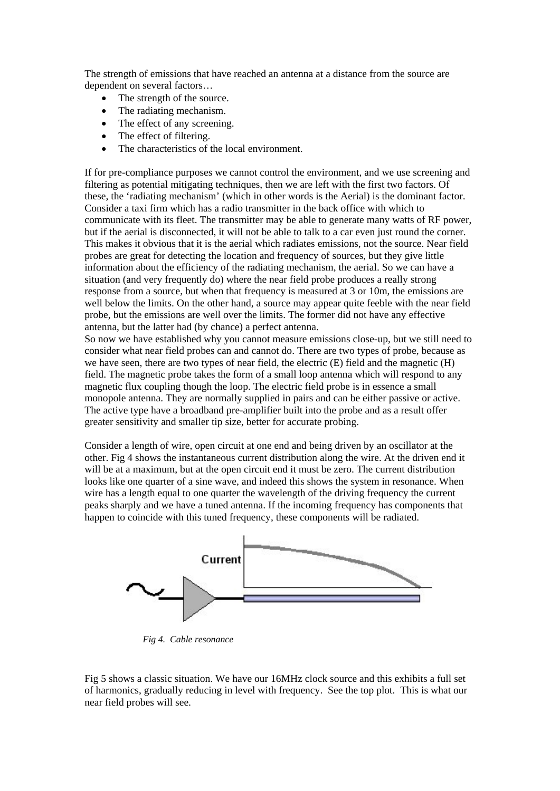The strength of emissions that have reached an antenna at a distance from the source are dependent on several factors…

- The strength of the source.
- The radiating mechanism.
- The effect of any screening.
- The effect of filtering.
- The characteristics of the local environment.

If for pre-compliance purposes we cannot control the environment, and we use screening and filtering as potential mitigating techniques, then we are left with the first two factors. Of these, the 'radiating mechanism' (which in other words is the Aerial) is the dominant factor. Consider a taxi firm which has a radio transmitter in the back office with which to communicate with its fleet. The transmitter may be able to generate many watts of RF power, but if the aerial is disconnected, it will not be able to talk to a car even just round the corner. This makes it obvious that it is the aerial which radiates emissions, not the source. Near field probes are great for detecting the location and frequency of sources, but they give little information about the efficiency of the radiating mechanism, the aerial. So we can have a situation (and very frequently do) where the near field probe produces a really strong response from a source, but when that frequency is measured at 3 or 10m, the emissions are well below the limits. On the other hand, a source may appear quite feeble with the near field probe, but the emissions are well over the limits. The former did not have any effective antenna, but the latter had (by chance) a perfect antenna.

So now we have established why you cannot measure emissions close-up, but we still need to consider what near field probes can and cannot do. There are two types of probe, because as we have seen, there are two types of near field, the electric (E) field and the magnetic (H) field. The magnetic probe takes the form of a small loop antenna which will respond to any magnetic flux coupling though the loop. The electric field probe is in essence a small monopole antenna. They are normally supplied in pairs and can be either passive or active. The active type have a broadband pre-amplifier built into the probe and as a result offer greater sensitivity and smaller tip size, better for accurate probing.

Consider a length of wire, open circuit at one end and being driven by an oscillator at the other. Fig 4 shows the instantaneous current distribution along the wire. At the driven end it will be at a maximum, but at the open circuit end it must be zero. The current distribution looks like one quarter of a sine wave, and indeed this shows the system in resonance. When wire has a length equal to one quarter the wavelength of the driving frequency the current peaks sharply and we have a tuned antenna. If the incoming frequency has components that happen to coincide with this tuned frequency, these components will be radiated.



*Fig 4. Cable resonance* 

Fig 5 shows a classic situation. We have our 16MHz clock source and this exhibits a full set of harmonics, gradually reducing in level with frequency. See the top plot. This is what our near field probes will see.